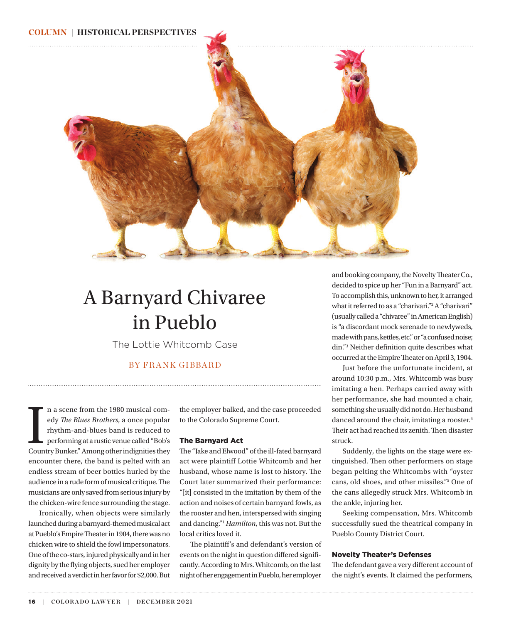## <span id="page-0-0"></span>COLUMN | HISTORICAL PERSPECTIVES



# A Barnyard Chivaree in Pueblo

The Lottie Whitcomb Case

# BY FRANK GIBBARD

In a scene from the 1980 musical comedy *The Blues Brothers*, a once popular rhythm-and-blues band is reduced to performing at a rustic venue called "Bob's Country Bunker." Among other indignities they n a scene from the 1980 musical comedy *The Blues Brothers*, a once popular rhythm-and-blues band is reduced to performing at a rustic venue called "Bob's encounter there, the band is pelted with an endless stream of beer bottles hurled by the audience in a rude form of musical critique. The musicians are only saved from serious injury by the chicken-wire fence surrounding the stage.

Ironically, when objects were similarly launched during a barnyard-themed musical act at Pueblo's Empire Theater in 1904, there was no chicken wire to shield the fowl impersonators. One of the co-stars, injured physically and in her dignity by the flying objects, sued her employer and received a verdict in her favor for \$2,000. But

the employer balked, and the case proceeded to the Colorado Supreme Court.

#### The Barnyard Act

The "Jake and Elwood" of the ill-fated barnyard act were plaintiff Lottie Whitcomb and her husband, whose name is lost to history. The Court later summarized their performance: "[it] consisted in the imitation by them of the action and noises of certain barnyard fowls, as the rooster and hen, interspersed with singing and dancing.["1](#page-1-0) *Hamilton*, this was not. But the local critics loved it.

The plaintiff's and defendant's version of events on the night in question differed significantly. According to Mrs. Whitcomb, on the last night of her engagement in Pueblo, her employer

and booking company, the Novelty Theater Co., decided to spice up her "Fun in a Barnyard" act. To accomplish this, unknown to her, it arranged what it referred to as a "charivari.["2](#page-1-0) A "charivari" (usually called a "chivaree" in American English) is "a discordant mock serenade to newlyweds, made with pans, kettles, etc." or "a confused noise; din."[3](#page-1-0) Neither definition quite describes what occurred at the Empire Theater on April 3, 1904.

Just before the unfortunate incident, at around 10:30 p.m., Mrs. Whitcomb was busy imitating a hen. Perhaps carried away with her performance, she had mounted a chair, something she usually did not do. Her husband danced around the chair, imitating a rooster.<sup>4</sup> Their act had reached its zenith. Then disaster struck.

Suddenly, the lights on the stage were extinguished. Then other performers on stage began pelting the Whitcombs with "oyster cans, old shoes, and other missiles."[5](#page-1-0) One of the cans allegedly struck Mrs. Whitcomb in the ankle, injuring her.

Seeking compensation, Mrs. Whitcomb successfully sued the theatrical company in Pueblo County District Court.

#### Novelty Theater's Defenses

The defendant gave a very different account of the night's events. It claimed the performers,